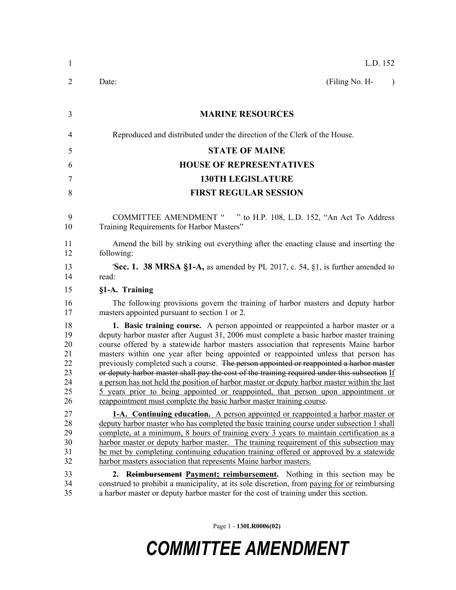| $\mathbf{1}$                                       | L.D. 152                                                                                                                                                                                                                                                                                                                                                                                                                                                                                                                                                                                                                                                                                                                                                                                                          |
|----------------------------------------------------|-------------------------------------------------------------------------------------------------------------------------------------------------------------------------------------------------------------------------------------------------------------------------------------------------------------------------------------------------------------------------------------------------------------------------------------------------------------------------------------------------------------------------------------------------------------------------------------------------------------------------------------------------------------------------------------------------------------------------------------------------------------------------------------------------------------------|
| 2                                                  | (Filing No. H-<br>Date:<br>$\lambda$                                                                                                                                                                                                                                                                                                                                                                                                                                                                                                                                                                                                                                                                                                                                                                              |
| 3                                                  | <b>MARINE RESOURCES</b>                                                                                                                                                                                                                                                                                                                                                                                                                                                                                                                                                                                                                                                                                                                                                                                           |
| 4                                                  | Reproduced and distributed under the direction of the Clerk of the House.                                                                                                                                                                                                                                                                                                                                                                                                                                                                                                                                                                                                                                                                                                                                         |
| 5                                                  | <b>STATE OF MAINE</b>                                                                                                                                                                                                                                                                                                                                                                                                                                                                                                                                                                                                                                                                                                                                                                                             |
| 6                                                  | <b>HOUSE OF REPRESENTATIVES</b>                                                                                                                                                                                                                                                                                                                                                                                                                                                                                                                                                                                                                                                                                                                                                                                   |
| 7                                                  | <b>130TH LEGISLATURE</b>                                                                                                                                                                                                                                                                                                                                                                                                                                                                                                                                                                                                                                                                                                                                                                                          |
| 8                                                  | <b>FIRST REGULAR SESSION</b>                                                                                                                                                                                                                                                                                                                                                                                                                                                                                                                                                                                                                                                                                                                                                                                      |
| 9<br>10                                            | COMMITTEE AMENDMENT " " to H.P. 108, L.D. 152, "An Act To Address<br>Training Requirements for Harbor Masters"                                                                                                                                                                                                                                                                                                                                                                                                                                                                                                                                                                                                                                                                                                    |
| 11<br>12                                           | Amend the bill by striking out everything after the enacting clause and inserting the<br>following:                                                                                                                                                                                                                                                                                                                                                                                                                                                                                                                                                                                                                                                                                                               |
| 13<br>14                                           | <b>Sec. 1. 38 MRSA §1-A,</b> as amended by PL 2017, c. 54, §1, is further amended to<br>read:                                                                                                                                                                                                                                                                                                                                                                                                                                                                                                                                                                                                                                                                                                                     |
| 15                                                 | §1-A. Training                                                                                                                                                                                                                                                                                                                                                                                                                                                                                                                                                                                                                                                                                                                                                                                                    |
| 16<br>17                                           | The following provisions govern the training of harbor masters and deputy harbor<br>masters appointed pursuant to section 1 or 2.                                                                                                                                                                                                                                                                                                                                                                                                                                                                                                                                                                                                                                                                                 |
| 18<br>19<br>20<br>21<br>22<br>23<br>24<br>25<br>26 | 1. Basic training course. A person appointed or reappointed a harbor master or a<br>deputy harbor master after August 31, 2006 must complete a basic harbor master training<br>course offered by a statewide harbor masters association that represents Maine harbor<br>masters within one year after being appointed or reappointed unless that person has<br>previously completed such a course. The person appointed or reappointed a harbor master<br>or deputy harbor master shall pay the cost of the training required under this subsection If<br>a person has not held the position of harbor master or deputy harbor master within the last<br>5 years prior to being appointed or reappointed, that person upon appointment or<br>reappointment must complete the basic harbor master training course. |
| 27<br>28<br>29<br>30<br>31<br>32<br>33<br>34       | <b>1-A.</b> Continuing education. A person appointed or reappointed a harbor master or<br>deputy harbor master who has completed the basic training course under subsection 1 shall<br>complete, at a minimum, 8 hours of training every 3 years to maintain certification as a<br>harbor master or deputy harbor master. The training requirement of this subsection may<br>be met by completing continuing education training offered or approved by a statewide<br>harbor masters association that represents Maine harbor masters.<br>2. Reimbursement Payment; reimbursement. Nothing in this section may be<br>construed to prohibit a municipality, at its sole discretion, from paying for or reimbursing                                                                                                 |
| 35                                                 | a harbor master or deputy harbor master for the cost of training under this section.                                                                                                                                                                                                                                                                                                                                                                                                                                                                                                                                                                                                                                                                                                                              |

Page 1 - **130LR0006(02)**

## *COMMITTEE AMENDMENT*